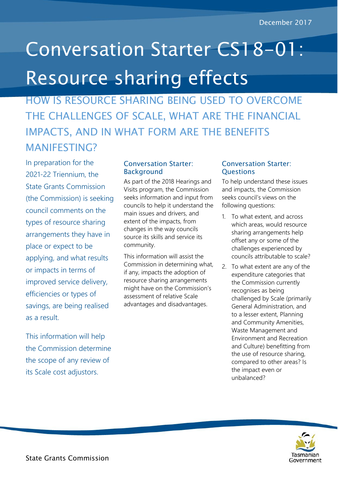## Conversation Starter CS18-01: Resource sharing effects

HOW IS RESOURCE SHARING BEING USED TO OVERCOME THE CHALLENGES OF SCALE, WHAT ARE THE FINANCIAL IMPACTS, AND IN WHAT FORM ARE THE BENEFITS MANIFESTING?

In preparation for the 2021-22 Triennium, the State Grants Commission (the Commission) is seeking council comments on the types of resource sharing arrangements they have in place or expect to be applying, and what results or impacts in terms of improved service delivery, efficiencies or types of savings, are being realised as a result.

This information will help the Commission determine the scope of any review of its Scale cost adjustors.

## Conversation Starter: **Background**

As part of the 2018 Hearings and Visits program, the Commission seeks information and input from councils to help it understand the main issues and drivers, and extent of the impacts, from changes in the way councils source its skills and service its community.

This information will assist the Commission in determining what, if any, impacts the adoption of resource sharing arrangements might have on the Commission's assessment of relative Scale advantages and disadvantages.

## Conversation Starter: **Questions**

To help understand these issues and impacts, the Commission seeks council's views on the following questions:

- 1. To what extent, and across which areas, would resource sharing arrangements help offset any or some of the challenges experienced by councils attributable to scale?
- 2. To what extent are any of the expenditure categories that the Commission currently recognises as being challenged by Scale (primarily General Administration, and to a lesser extent, Planning and Community Amenities, Waste Management and Environment and Recreation and Culture) benefitting from the use of resource sharing, compared to other areas? Is the impact even or unbalanced?